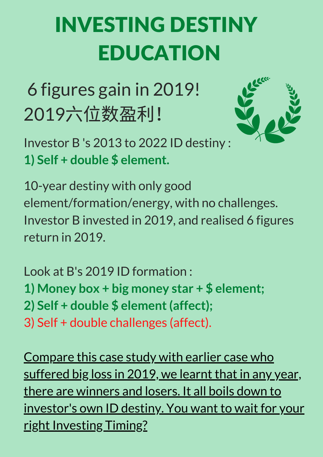## INVESTING DESTINY EDUCATION

6 figures gain in 2019! 2019六位数盈利!



Investor B 's 2013 to 2022 ID destiny : **1) Self + double \$ element.**

10-year destiny with only good element/formation/energy, with no challenges. Investor B invested in 2019, and realised 6 figures return in 2019.

Look at B's 2019 ID formation : **1) Money box + big money star + \$ element; 2) Self + double \$ element(affect);** 3) Self + double challenges (affect).

Compare this case study with earlier case who suffered big loss in 2019, we learnt that in any year, there are winners and losers. It all boils down to investor's own ID destiny. You want to wait for your right Investing Timing?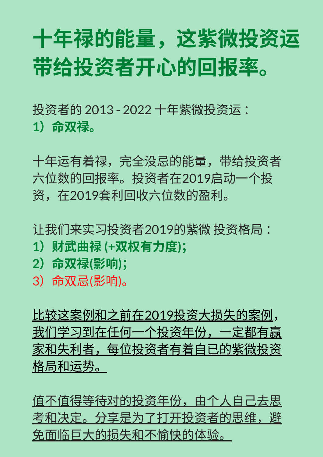## ⼗年禄的能量,这紫微投资运 带给投资者开心的回报率。

投资者的 2013 - 2022 十年紫微投资运: **1**)命双禄。

⼗年运有着禄,完全没忌的能量,带给投资者 六位数的回报率。投资者在2019启动一个投 资,在2019套利回收六位数的盈利。

让我们来实习投资者2019的紫微 投资格局 :

- **1**)财武曲禄 **(+**双权有⼒度**)**;
- **2**)命双禄**(**影响**)**;
- 3)命双忌(影响)。

比较这案例和之前在2019投资大损失的案例, 我们学习到在任何一个投资年份,一定都有赢 家和失利者,每位投资者有着自已的紫微投资 格局和运势。

值不值得等待对的投资年份,由个人自己去思 *考*和决定。分享是为了打开投资者的思维,避 免⾯临巨⼤的损失和不愉快的体验。